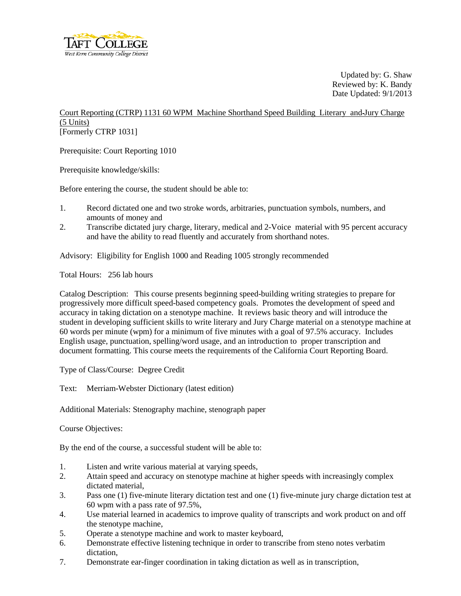

Updated by: G. Shaw Reviewed by: K. Bandy Date Updated: 9/1/2013

Court Reporting (CTRP) 1131 60 WPM Machine Shorthand Speed Building Literary and Jury Charge (5 Units) [Formerly CTRP 1031]

Prerequisite: Court Reporting 1010

Prerequisite knowledge/skills:

Before entering the course, the student should be able to:

- 1. Record dictated one and two stroke words, arbitraries, punctuation symbols, numbers, and amounts of money and
- 2. Transcribe dictated jury charge, literary, medical and 2-Voice material with 95 percent accuracy and have the ability to read fluently and accurately from shorthand notes.

Advisory: Eligibility for English 1000 and Reading 1005 strongly recommended

Total Hours: 256 lab hours

Catalog Description: This course presents beginning speed-building writing strategies to prepare for progressively more difficult speed-based competency goals. Promotes the development of speed and accuracy in taking dictation on a stenotype machine. It reviews basic theory and will introduce the student in developing sufficient skills to write literary and Jury Charge material on a stenotype machine at 60 words per minute (wpm) for a minimum of five minutes with a goal of 97.5% accuracy. Includes English usage, punctuation, spelling/word usage, and an introduction to proper transcription and document formatting. This course meets the requirements of the California Court Reporting Board.

Type of Class/Course: Degree Credit

Text: Merriam-Webster Dictionary (latest edition)

Additional Materials: Stenography machine, stenograph paper

Course Objectives:

By the end of the course, a successful student will be able to:

- 1. Listen and write various material at varying speeds,
- 2. Attain speed and accuracy on stenotype machine at higher speeds with increasingly complex dictated material,
- 3. Pass one (1) five-minute literary dictation test and one (1) five-minute jury charge dictation test at 60 wpm with a pass rate of 97.5%,
- 4. Use material learned in academics to improve quality of transcripts and work product on and off the stenotype machine,
- 5. Operate a stenotype machine and work to master keyboard,
- 6. Demonstrate effective listening technique in order to transcribe from steno notes verbatim dictation,
- 7. Demonstrate ear-finger coordination in taking dictation as well as in transcription,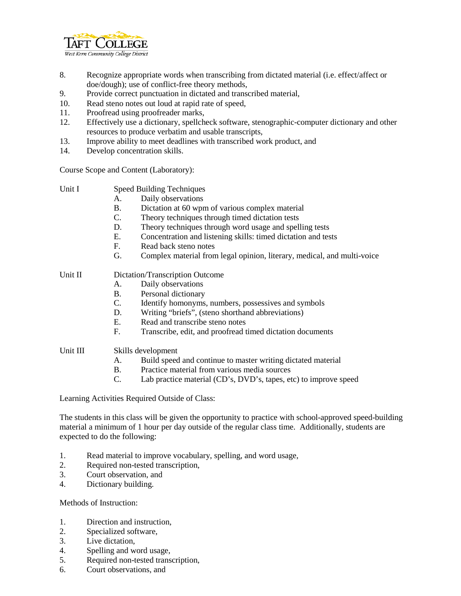

- 8. Recognize appropriate words when transcribing from dictated material (i.e. effect/affect or doe/dough); use of conflict-free theory methods,
- 9. Provide correct punctuation in dictated and transcribed material,
- 10. Read steno notes out loud at rapid rate of speed,
- 11. Proofread using proofreader marks,
- 12. Effectively use a dictionary, spellcheck software, stenographic-computer dictionary and other resources to produce verbatim and usable transcripts,
- 13. Improve ability to meet deadlines with transcribed work product, and
- 14. Develop concentration skills.

Course Scope and Content (Laboratory):

- Unit I Speed Building Techniques
	- A. Daily observations<br>B. Dictation at 60 wpr
	- Dictation at 60 wpm of various complex material
	- C. Theory techniques through timed dictation tests
	- D. Theory techniques through word usage and spelling tests
	- E. Concentration and listening skills: timed dictation and tests
	- F. Read back steno notes
	- G. Complex material from legal opinion, literary, medical, and multi-voice

## Unit II Dictation/Transcription Outcome

- A. Daily observations
- B. Personal dictionary
- C. Identify homonyms, numbers, possessives and symbols
- D. Writing "briefs", (steno shorthand abbreviations)
- E. Read and transcribe steno notes
- F. Transcribe, edit, and proofread timed dictation documents

Unit III Skills development

- A. Build speed and continue to master writing dictated material
- B. Practice material from various media sources
- C. Lab practice material (CD's, DVD's, tapes, etc) to improve speed

Learning Activities Required Outside of Class:

The students in this class will be given the opportunity to practice with school-approved speed-building material a minimum of 1 hour per day outside of the regular class time. Additionally, students are expected to do the following:

- 1. Read material to improve vocabulary, spelling, and word usage,
- 2. Required non-tested transcription,
- 3. Court observation, and<br>4. Dictionary building.
- Dictionary building.

Methods of Instruction:

- 1. Direction and instruction,
- 2. Specialized software,
- 3. Live dictation,
- 4. Spelling and word usage,
- 5. Required non-tested transcription,
- 6. Court observations, and